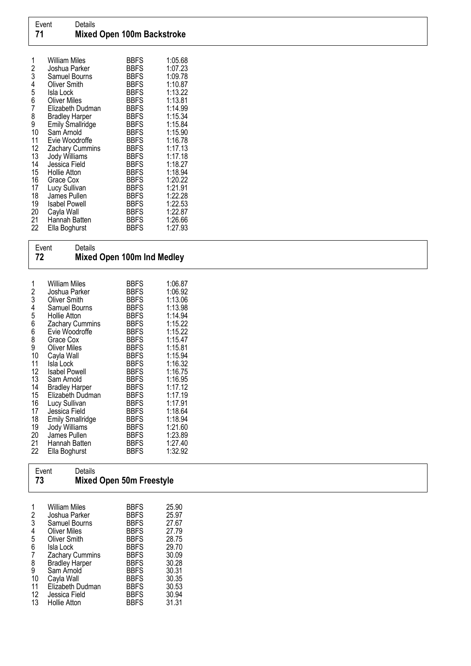| 72                                                                                      | Event<br>Details                                                                                                                                                                                                                                                                                                                                                                                                            | Mixed Open 100m Ind Medley                                                                                                                                                                                                                                                                                                      |                                                                                                                                                                                                                                                |  |  |  |
|-----------------------------------------------------------------------------------------|-----------------------------------------------------------------------------------------------------------------------------------------------------------------------------------------------------------------------------------------------------------------------------------------------------------------------------------------------------------------------------------------------------------------------------|---------------------------------------------------------------------------------------------------------------------------------------------------------------------------------------------------------------------------------------------------------------------------------------------------------------------------------|------------------------------------------------------------------------------------------------------------------------------------------------------------------------------------------------------------------------------------------------|--|--|--|
| 123456689<br>10<br>11<br>12<br>13<br>14<br>15<br>16<br>17<br>18<br>19<br>20<br>21<br>22 | <b>William Miles</b><br>Joshua Parker<br><b>Oliver Smith</b><br>Samuel Bourns<br><b>Hollie Atton</b><br>Zachary Cummins<br>Evie Woodroffe<br>Grace Cox<br><b>Oliver Miles</b><br>Cayla Wall<br>Isla Lock<br><b>Isabel Powell</b><br>Sam Arnold<br><b>Bradley Harper</b><br>Elizabeth Dudman<br>Lucy Sullivan<br>Jessica Field<br><b>Emily Smallridge</b><br>Jody Williams<br>James Pullen<br>Hannah Batten<br>Ella Boghurst | <b>BBFS</b><br>BBFS<br><b>BBFS</b><br><b>BBFS</b><br><b>BBFS</b><br><b>BBFS</b><br><b>BBFS</b><br><b>BBFS</b><br><b>BBFS</b><br><b>BBFS</b><br><b>BBFS</b><br><b>BBFS</b><br><b>BBFS</b><br><b>BBFS</b><br><b>BBFS</b><br><b>BBFS</b><br><b>BBFS</b><br><b>BBFS</b><br><b>BBFS</b><br><b>BBFS</b><br><b>BBFS</b><br><b>BBFS</b> | 1:06.87<br>1:06.92<br>1:13.06<br>1:13.98<br>1:14.94<br>1:15.22<br>1:15.22<br>1:15.47<br>1:15.81<br>1:15.94<br>1:16.32<br>1:16.75<br>1:16.95<br>1:17.12<br>1:17.19<br>1:17.91<br>1:18.64<br>1:18.94<br>1:21.60<br>1:23.89<br>1:27.40<br>1:32.92 |  |  |  |
| Event<br>Details<br>73<br>Mixed Open 50m Freestyle                                      |                                                                                                                                                                                                                                                                                                                                                                                                                             |                                                                                                                                                                                                                                                                                                                                 |                                                                                                                                                                                                                                                |  |  |  |

| 2      | William Miles<br>Joshua Parker       | <b>BBFS</b><br><b>BBFS</b> | 25.90<br>25.97 |
|--------|--------------------------------------|----------------------------|----------------|
| 3<br>4 | Samuel Bourns<br><b>Oliver Miles</b> | <b>BBFS</b><br><b>BBFS</b> | 27.67<br>27.79 |
| 5      | Oliver Smith                         | <b>BBFS</b>                | 28.75          |
| 6      | Isla Lock                            | <b>BBFS</b>                | 29.70          |
|        | <b>Zachary Cummins</b>               | <b>BBFS</b>                | 30.09          |
| 8      | <b>Bradley Harper</b>                | <b>BBFS</b>                | 30.28          |
| 9      | Sam Arnold                           | <b>BBFS</b>                | 30.31          |
| 10     | Cayla Wall                           | <b>BBFS</b>                | 30.35          |
| 11     | Elizabeth Dudman                     | <b>BBFS</b>                | 30.53          |
| 12     | Jessica Field                        | <b>BBFS</b>                | 30.94          |
| 13     | Hollie Atton                         | <b>BBFS</b>                | 31.31          |

**Mixed Open 50m Freestyle**